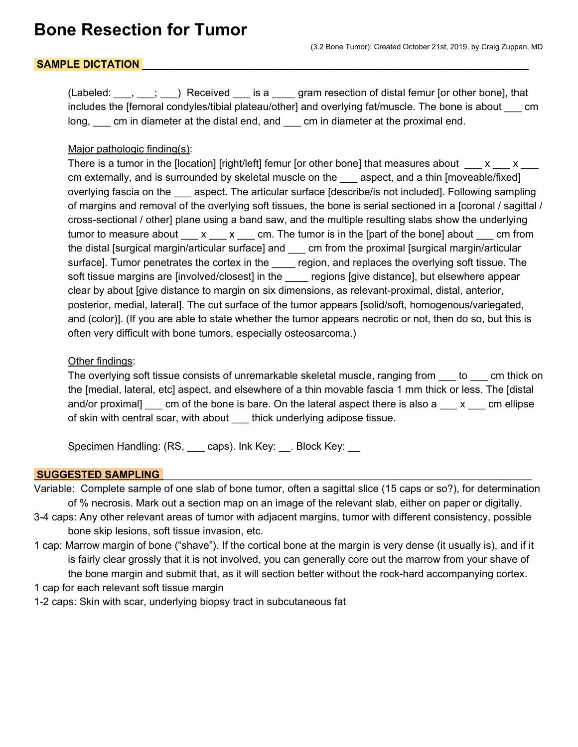# SAMPLE DICTATION

(Labeled:  $\ldots$ ,  $\ldots$ ;  $\ldots$ ) Received is a gram resection of distal femur [or other bone], that includes the [femoral condyles/tibial plateau/other] and overlying fat/muscle. The bone is about \_\_\_ cm long, cm in diameter at the distal end, and cm in diameter at the proximal end.

#### Major pathologic finding(s):

There is a tumor in the [location] [right/left] femur [or other bone] that measures about  $\frac{x}{x}$  x  $\frac{x}{y}$ cm externally, and is surrounded by skeletal muscle on the aspect, and a thin [moveable/fixed] overlying fascia on the same aspect. The articular surface [describe/is not included]. Following sampling of margins and removal of the overlying soft tissues, the bone is serial sectioned in a [coronal / sagittal / cross-sectional / other] plane using a band saw, and the multiple resulting slabs show the underlying tumor to measure about  $\begin{array}{c} x \sim x \quad \text{cm} \end{array}$  The tumor is in the [part of the bone] about  $\begin{array}{c} \text{cm} \text{ from} \end{array}$ the distal [surgical margin/articular surface] and \_\_\_ cm from the proximal [surgical margin/articular surface]. Tumor penetrates the cortex in the \_\_\_\_ region, and replaces the overlying soft tissue. The soft tissue margins are [involved/closest] in the \_\_\_\_ regions [give distance], but elsewhere appear clear by about [give distance to margin on six dimensions, as relevant-proximal, distal, anterior, posterior, medial, lateral]. The cut surface of the tumor appears [solid/soft, homogenous/variegated, and (color)]. (If you are able to state whether the tumor appears necrotic or not, then do so, but this is often very difficult with bone tumors, especially osteosarcoma.)

### Other findings:

The overlying soft tissue consists of unremarkable skeletal muscle, ranging from to cm thick on the [medial, lateral, etc] aspect, and elsewhere of a thin movable fascia 1 mm thick or less. The [distal and/or proximal] \_\_\_ cm of the bone is bare. On the lateral aspect there is also a \_\_\_ x \_\_\_ cm ellipse of skin with central scar, with about \_\_\_ thick underlying adipose tissue.

Specimen Handling: (RS, caps). Ink Key: ... Block Key: ...

#### **SUGGESTED SAMPLING**

- Variable: Complete sample of one slab of bone tumor, often a sagittal slice (15 caps or so?), for determination of % necrosis. Mark out a section map on an image of the relevant slab, either on paper or digitally.
- 3-4 caps: Any other relevant areas of tumor with adjacent margins, tumor with different consistency, possible bone skip lesions, soft tissue invasion, etc.
- 1 cap: Marrow margin of bone ("shave"). If the cortical bone at the margin is very dense (it usually is), and if it is fairly clear grossly that it is not involved, you can generally core out the marrow from your shave of the bone margin and submit that, as it will section better without the rock-hard accompanying cortex.
- 1 cap for each relevant soft tissue margin
- 1-2 caps: Skin with scar, underlying biopsy tract in subcutaneous fat